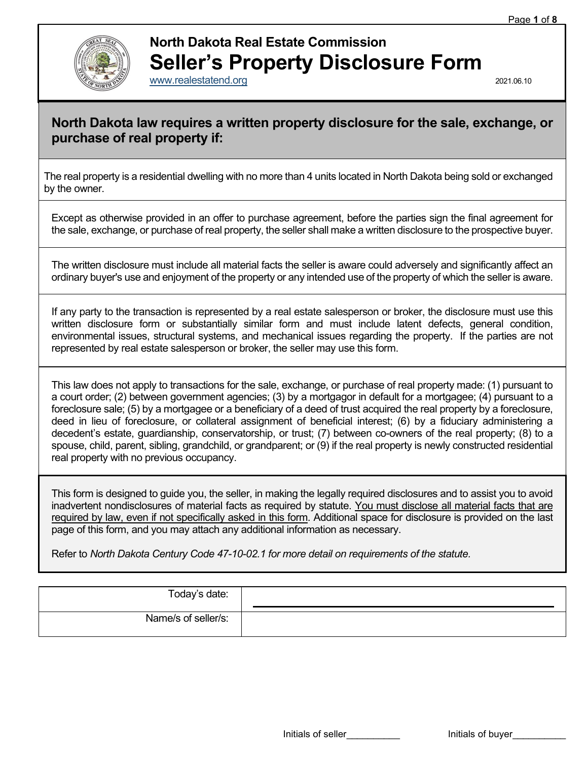

## **North Dakota Real Estate Commission Seller's Property Disclosure Form**

[www.realestatend.org](http://www.realestatend.org/) 2021.06.10

## **North Dakota law requires a written property disclosure for the sale, exchange, or purchase of real property if:**

The real property is a residential dwelling with no more than 4 units located in North Dakota being sold or exchanged by the owner.

Except as otherwise provided in an offer to purchase agreement, before the parties sign the final agreement for the sale, exchange, or purchase of real property, the seller shall make a written disclosure to the prospective buyer.

The written disclosure must include all material facts the seller is aware could adversely and significantly affect an ordinary buyer's use and enjoyment of the property or any intended use of the property of which the seller is aware.

If any party to the transaction is represented by a real estate salesperson or broker, the disclosure must use this written disclosure form or substantially similar form and must include latent defects, general condition, environmental issues, structural systems, and mechanical issues regarding the property. If the parties are not represented by real estate salesperson or broker, the seller may use this form.

This law does not apply to transactions for the sale, exchange, or purchase of real property made: (1) pursuant to a court order; (2) between government agencies; (3) by a mortgagor in default for a mortgagee; (4) pursuant to a foreclosure sale; (5) by a mortgagee or a beneficiary of a deed of trust acquired the real property by a foreclosure, deed in lieu of foreclosure, or collateral assignment of beneficial interest; (6) by a fiduciary administering a decedent's estate, guardianship, conservatorship, or trust; (7) between co-owners of the real property; (8) to a spouse, child, parent, sibling, grandchild, or grandparent; or (9) if the real property is newly constructed residential real property with no previous occupancy.

This form is designed to guide you, the seller, in making the legally required disclosures and to assist you to avoid inadvertent nondisclosures of material facts as required by statute. You must disclose all material facts that are required by law, even if not specifically asked in this form. Additional space for disclosure is provided on the last page of this form, and you may attach any additional information as necessary.

Refer to *North Dakota Century Code 47-10-02.1 for more detail on requirements of the statute.*

| Today's date:       |  |
|---------------------|--|
| Name/s of seller/s: |  |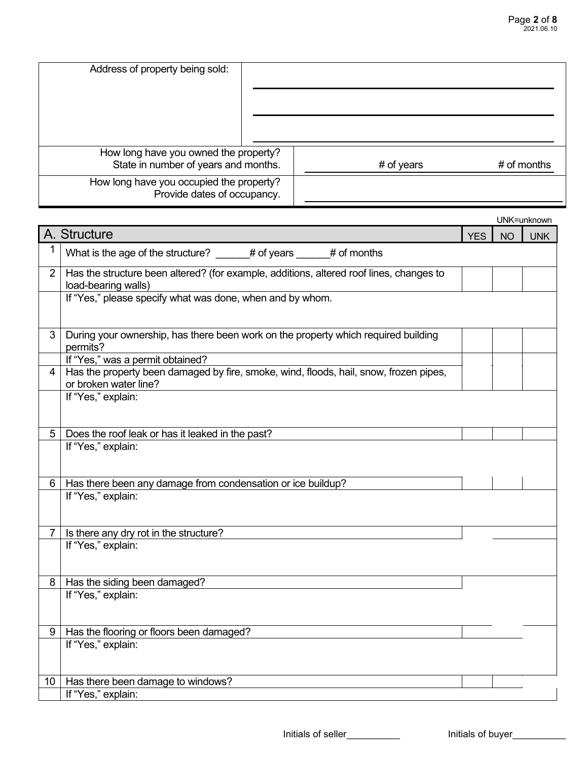| Address of property being sold:                                         |            |               |
|-------------------------------------------------------------------------|------------|---------------|
| How long have you owned the property?                                   |            |               |
| State in number of years and months.                                    | # of years | $#$ of months |
| How long have you occupied the property?<br>Provide dates of occupancy. |            |               |

|                 |                                                                                                                |            |           | UNK=unknown |
|-----------------|----------------------------------------------------------------------------------------------------------------|------------|-----------|-------------|
|                 | A. Structure                                                                                                   | <b>YES</b> | <b>NO</b> | <b>UNK</b>  |
| 1               | What is the age of the structure? _____# of years ____# of months                                              |            |           |             |
| $\overline{2}$  | Has the structure been altered? (for example, additions, altered roof lines, changes to<br>load-bearing walls) |            |           |             |
|                 | If "Yes," please specify what was done, when and by whom.                                                      |            |           |             |
| 3               | During your ownership, has there been work on the property which required building<br>permits?                 |            |           |             |
|                 | If "Yes," was a permit obtained?                                                                               |            |           |             |
| 4               | Has the property been damaged by fire, smoke, wind, floods, hail, snow, frozen pipes,<br>or broken water line? |            |           |             |
|                 | If "Yes," explain:                                                                                             |            |           |             |
| 5               | Does the roof leak or has it leaked in the past?                                                               |            |           |             |
|                 | If "Yes," explain:                                                                                             |            |           |             |
| 6               | Has there been any damage from condensation or ice buildup?                                                    |            |           |             |
|                 | If "Yes," explain:                                                                                             |            |           |             |
| $\overline{7}$  | Is there any dry rot in the structure?                                                                         |            |           |             |
|                 | If "Yes," explain:                                                                                             |            |           |             |
| 8               | Has the siding been damaged?                                                                                   |            |           |             |
|                 | If "Yes," explain:                                                                                             |            |           |             |
| 9               | Has the flooring or floors been damaged?                                                                       |            |           |             |
|                 | If "Yes," explain:                                                                                             |            |           |             |
| 10 <sup>1</sup> | Has there been damage to windows?                                                                              |            |           |             |
|                 | If "Yes," explain:                                                                                             |            |           |             |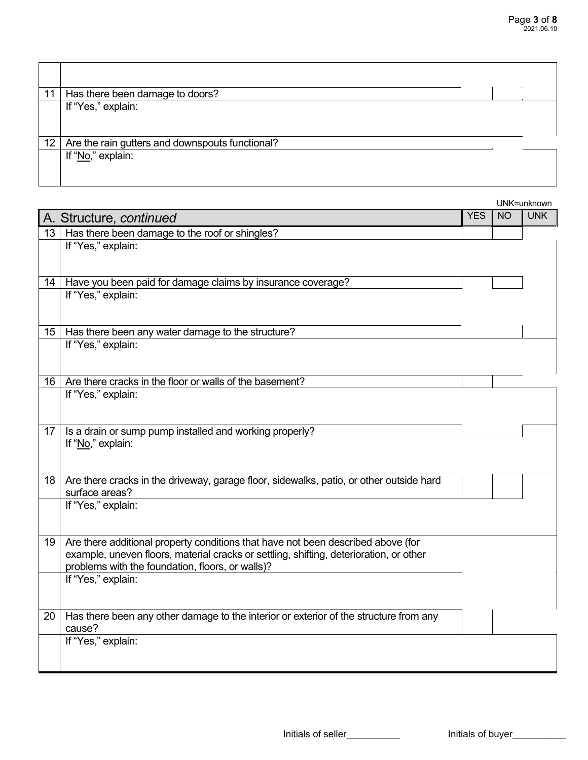| 11 | Has there been damage to doors?                 |  |
|----|-------------------------------------------------|--|
|    | If "Yes," explain:                              |  |
| 12 | Are the rain gutters and downspouts functional? |  |
|    | If "No," explain:                               |  |

|                  |                                                                                                                                            |            |           | UNK=unknown |
|------------------|--------------------------------------------------------------------------------------------------------------------------------------------|------------|-----------|-------------|
|                  | A. Structure, continued                                                                                                                    | <b>YES</b> | <b>NO</b> | <b>UNK</b>  |
| 13 <sup>°</sup>  | Has there been damage to the roof or shingles?                                                                                             |            |           |             |
|                  | If "Yes," explain:                                                                                                                         |            |           |             |
|                  |                                                                                                                                            |            |           |             |
| 14               | Have you been paid for damage claims by insurance coverage?                                                                                |            |           |             |
|                  | If "Yes," explain:                                                                                                                         |            |           |             |
|                  |                                                                                                                                            |            |           |             |
|                  |                                                                                                                                            |            |           |             |
| 15 <sub>15</sub> | Has there been any water damage to the structure?                                                                                          |            |           |             |
|                  | If "Yes," explain:                                                                                                                         |            |           |             |
|                  |                                                                                                                                            |            |           |             |
| 16               | Are there cracks in the floor or walls of the basement?                                                                                    |            |           |             |
|                  | If "Yes," explain:                                                                                                                         |            |           |             |
|                  |                                                                                                                                            |            |           |             |
|                  |                                                                                                                                            |            |           |             |
| 17               | Is a drain or sump pump installed and working properly?                                                                                    |            |           |             |
|                  | If "No," explain:                                                                                                                          |            |           |             |
|                  |                                                                                                                                            |            |           |             |
| 18               | Are there cracks in the driveway, garage floor, sidewalks, patio, or other outside hard                                                    |            |           |             |
|                  | surface areas?                                                                                                                             |            |           |             |
|                  | If "Yes," explain:                                                                                                                         |            |           |             |
|                  |                                                                                                                                            |            |           |             |
|                  |                                                                                                                                            |            |           |             |
| 19               | Are there additional property conditions that have not been described above (for                                                           |            |           |             |
|                  | example, uneven floors, material cracks or settling, shifting, deterioration, or other<br>problems with the foundation, floors, or walls)? |            |           |             |
|                  | If "Yes," explain:                                                                                                                         |            |           |             |
|                  |                                                                                                                                            |            |           |             |
|                  |                                                                                                                                            |            |           |             |
| 20               | Has there been any other damage to the interior or exterior of the structure from any                                                      |            |           |             |
|                  | cause?                                                                                                                                     |            |           |             |
|                  | If "Yes," explain:                                                                                                                         |            |           |             |
|                  |                                                                                                                                            |            |           |             |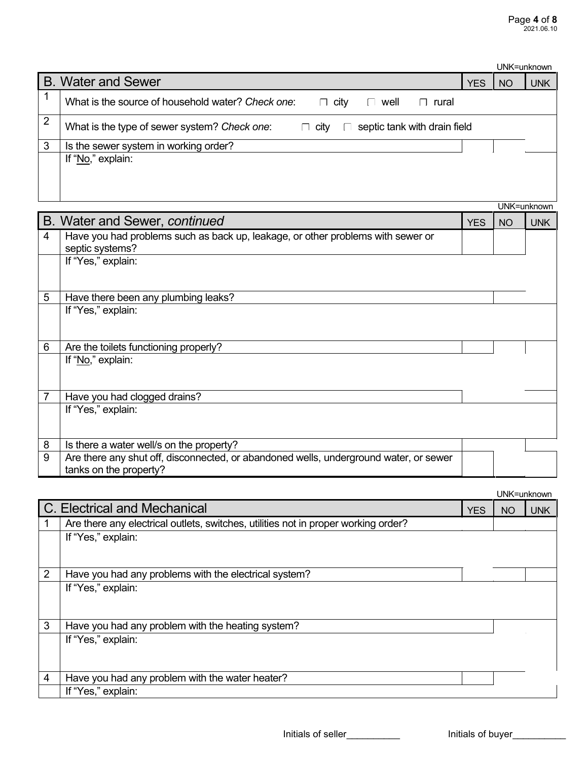|                |                                                                                             |            |    | UNK=unknown |
|----------------|---------------------------------------------------------------------------------------------|------------|----|-------------|
|                | <b>B. Water and Sewer</b>                                                                   | <b>YES</b> | NO | <b>UNK</b>  |
|                | What is the source of household water? Check one:<br>city<br>well<br>rural<br>$\Box$<br>I.  |            |    |             |
| $\overline{2}$ | What is the type of sewer system? Check one:<br>septic tank with drain field<br>$\Box$ city |            |    |             |
| 3              | Is the sewer system in working order?                                                       |            |    |             |
|                | If "No," explain:                                                                           |            |    |             |

|   | UNK=unknown                                                                           |            |           |            |  |  |
|---|---------------------------------------------------------------------------------------|------------|-----------|------------|--|--|
|   | B. Water and Sewer, continued                                                         | <b>YES</b> | <b>NO</b> | <b>UNK</b> |  |  |
| 4 | Have you had problems such as back up, leakage, or other problems with sewer or       |            |           |            |  |  |
|   | septic systems?                                                                       |            |           |            |  |  |
|   | If "Yes," explain:                                                                    |            |           |            |  |  |
|   |                                                                                       |            |           |            |  |  |
|   |                                                                                       |            |           |            |  |  |
| 5 | Have there been any plumbing leaks?                                                   |            |           |            |  |  |
|   | If "Yes," explain:                                                                    |            |           |            |  |  |
|   |                                                                                       |            |           |            |  |  |
|   |                                                                                       |            |           |            |  |  |
| 6 | Are the toilets functioning properly?                                                 |            |           |            |  |  |
|   | If "No," explain:                                                                     |            |           |            |  |  |
|   |                                                                                       |            |           |            |  |  |
|   |                                                                                       |            |           |            |  |  |
|   | Have you had clogged drains?                                                          |            |           |            |  |  |
|   | If "Yes," explain:                                                                    |            |           |            |  |  |
|   |                                                                                       |            |           |            |  |  |
|   |                                                                                       |            |           |            |  |  |
| 8 | Is there a water well/s on the property?                                              |            |           |            |  |  |
| 9 | Are there any shut off, disconnected, or abandoned wells, underground water, or sewer |            |           |            |  |  |
|   | tanks on the property?                                                                |            |           |            |  |  |

|   |                                                                                    |            | UNK=unknown |            |
|---|------------------------------------------------------------------------------------|------------|-------------|------------|
|   | C. Electrical and Mechanical                                                       | <b>YES</b> | NO          | <b>UNK</b> |
|   | Are there any electrical outlets, switches, utilities not in proper working order? |            |             |            |
|   | If "Yes," explain:                                                                 |            |             |            |
|   |                                                                                    |            |             |            |
| 2 | Have you had any problems with the electrical system?                              |            |             |            |
|   | If "Yes," explain:                                                                 |            |             |            |
|   |                                                                                    |            |             |            |
| 3 | Have you had any problem with the heating system?                                  |            |             |            |
|   | If "Yes," explain:                                                                 |            |             |            |
|   |                                                                                    |            |             |            |
|   |                                                                                    |            |             |            |
| 4 | Have you had any problem with the water heater?                                    |            |             |            |
|   | If "Yes," explain:                                                                 |            |             |            |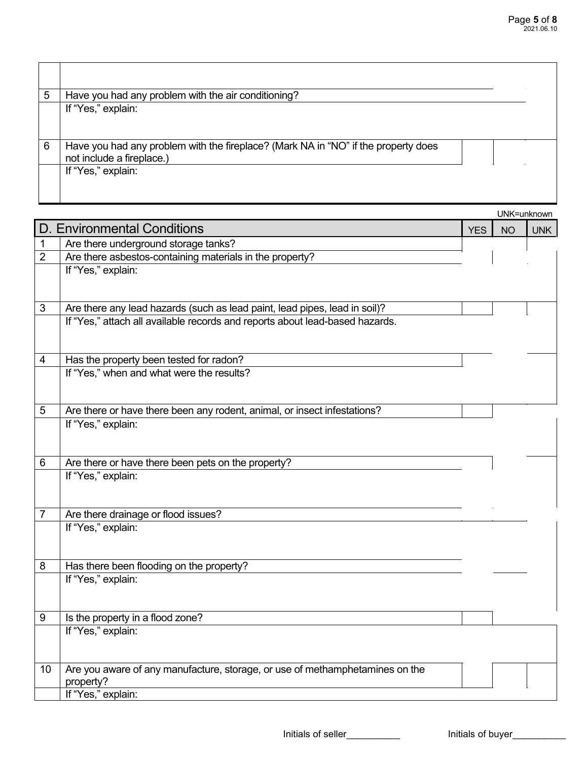| 5 | Have you had any problem with the air conditioning?                                                             |
|---|-----------------------------------------------------------------------------------------------------------------|
|   | If "Yes," explain:                                                                                              |
| 6 | Have you had any problem with the fireplace? (Mark NA in "NO" if the property does<br>not include a fireplace.) |
|   | If "Yes," explain:                                                                                              |

|                |                                                                                      |            | UNK=unknown |            |
|----------------|--------------------------------------------------------------------------------------|------------|-------------|------------|
|                | <b>D. Environmental Conditions</b>                                                   | <b>YES</b> | <b>NO</b>   | <b>UNK</b> |
| 1              | Are there underground storage tanks?                                                 |            |             |            |
| $\overline{2}$ | Are there asbestos-containing materials in the property?                             |            |             |            |
|                | If "Yes," explain:                                                                   |            |             |            |
|                |                                                                                      |            |             |            |
| $\mathfrak{S}$ | Are there any lead hazards (such as lead paint, lead pipes, lead in soil)?           |            |             |            |
|                | If "Yes," attach all available records and reports about lead-based hazards.         |            |             |            |
|                |                                                                                      |            |             |            |
|                |                                                                                      |            |             |            |
| 4              | Has the property been tested for radon?<br>If "Yes," when and what were the results? |            |             |            |
|                |                                                                                      |            |             |            |
|                |                                                                                      |            |             |            |
| 5              | Are there or have there been any rodent, animal, or insect infestations?             |            |             |            |
|                | If "Yes," explain:                                                                   |            |             |            |
|                |                                                                                      |            |             |            |
| 6              | Are there or have there been pets on the property?                                   |            |             |            |
|                | If "Yes," explain:                                                                   |            |             |            |
|                |                                                                                      |            |             |            |
|                |                                                                                      |            |             |            |
| 7              | Are there drainage or flood issues?<br>If "Yes," explain:                            |            |             |            |
|                |                                                                                      |            |             |            |
|                |                                                                                      |            |             |            |
| 8              | Has there been flooding on the property?                                             |            |             |            |
|                | If "Yes," explain:                                                                   |            |             |            |
|                |                                                                                      |            |             |            |
| 9              | Is the property in a flood zone?                                                     |            |             |            |
|                | If "Yes," explain:                                                                   |            |             |            |
|                |                                                                                      |            |             |            |
|                |                                                                                      |            |             |            |
| 10             | Are you aware of any manufacture, storage, or use of methamphetamines on the         |            |             |            |
|                | property?<br>If "Yes," explain:                                                      |            |             |            |
|                |                                                                                      |            |             |            |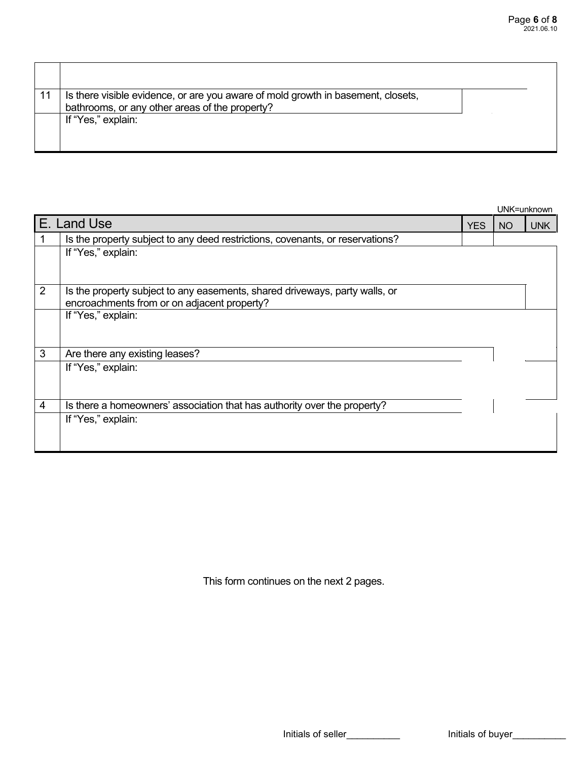| 11 | Is there visible evidence, or are you aware of mold growth in basement, closets,<br>bathrooms, or any other areas of the property? |  |
|----|------------------------------------------------------------------------------------------------------------------------------------|--|
|    | If "Yes," explain:                                                                                                                 |  |

|   |                                                                               |            |           | UNK=unknown |
|---|-------------------------------------------------------------------------------|------------|-----------|-------------|
|   | E. Land Use                                                                   | <b>YES</b> | <b>NO</b> | <b>UNK</b>  |
|   | Is the property subject to any deed restrictions, covenants, or reservations? |            |           |             |
|   | If "Yes," explain:                                                            |            |           |             |
|   |                                                                               |            |           |             |
| 2 | Is the property subject to any easements, shared driveways, party walls, or   |            |           |             |
|   | encroachments from or on adjacent property?                                   |            |           |             |
|   | If "Yes," explain:                                                            |            |           |             |
|   |                                                                               |            |           |             |
|   |                                                                               |            |           |             |
| 3 | Are there any existing leases?                                                |            |           |             |
|   | If "Yes," explain:                                                            |            |           |             |
|   |                                                                               |            |           |             |
|   |                                                                               |            |           |             |
| 4 | Is there a homeowners' association that has authority over the property?      |            |           |             |
|   | If "Yes," explain:                                                            |            |           |             |
|   |                                                                               |            |           |             |
|   |                                                                               |            |           |             |

This form continues on the next 2 pages.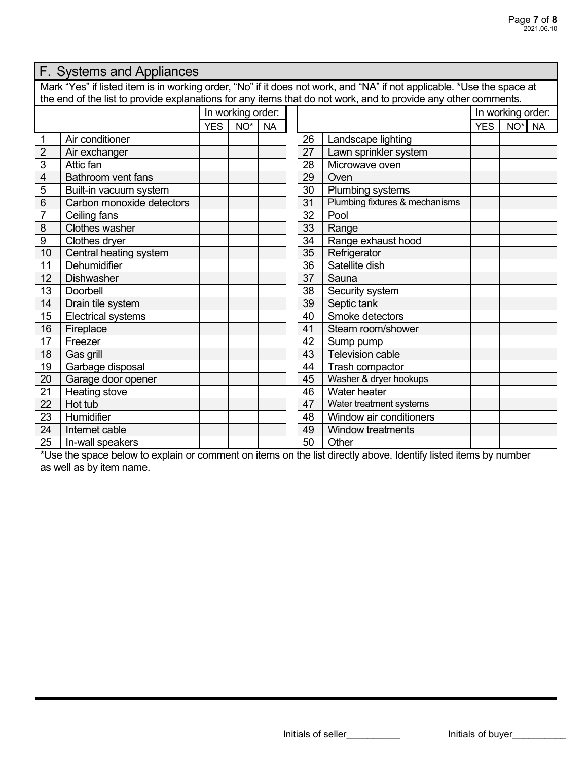| F. Systems and Appliances                                                                                              |                           |                                            |                   |  |  |    |                                |                 |                   |  |  |
|------------------------------------------------------------------------------------------------------------------------|---------------------------|--------------------------------------------|-------------------|--|--|----|--------------------------------|-----------------|-------------------|--|--|
| Mark "Yes" if listed item is in working order, "No" if it does not work, and "NA" if not applicable. *Use the space at |                           |                                            |                   |  |  |    |                                |                 |                   |  |  |
| the end of the list to provide explanations for any items that do not work, and to provide any other comments.         |                           |                                            |                   |  |  |    |                                |                 |                   |  |  |
|                                                                                                                        |                           |                                            | In working order: |  |  |    |                                |                 | In working order: |  |  |
|                                                                                                                        |                           | <b>YES</b><br>NO <sup>*</sup><br><b>NA</b> |                   |  |  |    | <b>YES</b>                     | NO <sup>*</sup> | <b>NA</b>         |  |  |
| 1                                                                                                                      | Air conditioner           |                                            |                   |  |  | 26 | Landscape lighting             |                 |                   |  |  |
| $\overline{2}$                                                                                                         | Air exchanger             |                                            |                   |  |  | 27 | Lawn sprinkler system          |                 |                   |  |  |
| 3                                                                                                                      | Attic fan                 |                                            |                   |  |  | 28 | Microwave oven                 |                 |                   |  |  |
| 4                                                                                                                      | Bathroom vent fans        |                                            |                   |  |  | 29 | Oven                           |                 |                   |  |  |
| 5                                                                                                                      | Built-in vacuum system    |                                            |                   |  |  | 30 | Plumbing systems               |                 |                   |  |  |
| 6                                                                                                                      | Carbon monoxide detectors |                                            |                   |  |  | 31 | Plumbing fixtures & mechanisms |                 |                   |  |  |
| $\overline{7}$                                                                                                         | Ceiling fans              |                                            |                   |  |  | 32 | Pool                           |                 |                   |  |  |
| 8                                                                                                                      | <b>Clothes washer</b>     |                                            |                   |  |  | 33 | Range                          |                 |                   |  |  |
| 9                                                                                                                      | Clothes dryer             |                                            |                   |  |  | 34 | Range exhaust hood             |                 |                   |  |  |
| 10                                                                                                                     | Central heating system    |                                            |                   |  |  | 35 | Refrigerator                   |                 |                   |  |  |
| 11                                                                                                                     | Dehumidifier              |                                            |                   |  |  | 36 | Satellite dish                 |                 |                   |  |  |
| 12                                                                                                                     | <b>Dishwasher</b>         |                                            |                   |  |  | 37 | Sauna                          |                 |                   |  |  |
| 13                                                                                                                     | Doorbell                  |                                            |                   |  |  | 38 | Security system                |                 |                   |  |  |
| 14                                                                                                                     | Drain tile system         |                                            |                   |  |  | 39 | Septic tank                    |                 |                   |  |  |
| 15                                                                                                                     | <b>Electrical systems</b> |                                            |                   |  |  | 40 | Smoke detectors                |                 |                   |  |  |
| 16                                                                                                                     | Fireplace                 |                                            |                   |  |  | 41 | Steam room/shower              |                 |                   |  |  |
| 17                                                                                                                     | Freezer                   |                                            |                   |  |  | 42 | Sump pump                      |                 |                   |  |  |
| 18                                                                                                                     | Gas grill                 |                                            |                   |  |  | 43 | <b>Television cable</b>        |                 |                   |  |  |
| 19                                                                                                                     | Garbage disposal          |                                            |                   |  |  | 44 | Trash compactor                |                 |                   |  |  |
| 20                                                                                                                     | Garage door opener        |                                            |                   |  |  | 45 | Washer & dryer hookups         |                 |                   |  |  |
| 21                                                                                                                     | Heating stove             |                                            |                   |  |  | 46 | Water heater                   |                 |                   |  |  |
| $\overline{22}$                                                                                                        | Hot tub                   |                                            |                   |  |  | 47 | Water treatment systems        |                 |                   |  |  |
| 23                                                                                                                     | Humidifier                |                                            |                   |  |  | 48 | Window air conditioners        |                 |                   |  |  |
| 24                                                                                                                     | Internet cable            |                                            |                   |  |  | 49 | <b>Window treatments</b>       |                 |                   |  |  |
| 25                                                                                                                     | In-wall speakers          |                                            |                   |  |  | 50 | Other                          |                 |                   |  |  |

\*Use the space below to explain or comment on items on the list directly above. Identify listed items by number as well as by item name.